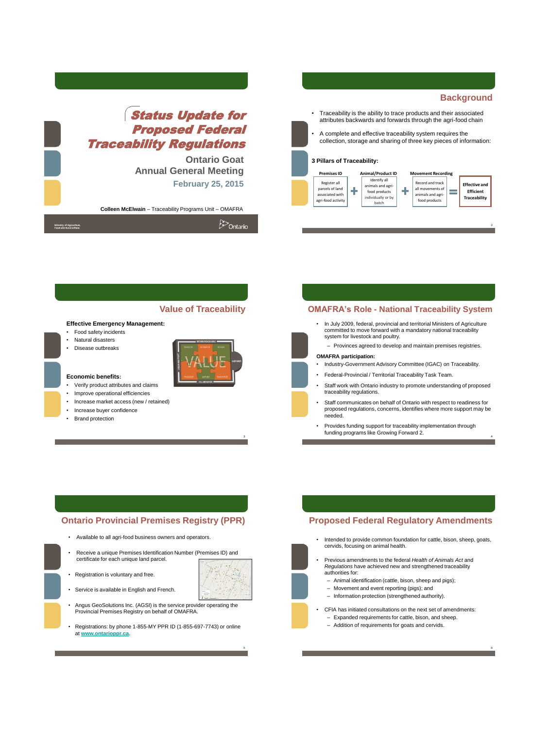

**Colleen McElwain** – Traceability Programs Unit – OMAFRA

| Ministry of Agriculture,<br>Food and Rural Affairs | <b>D</b> Ontario |
|----------------------------------------------------|------------------|
|----------------------------------------------------|------------------|



### **Effective Emergency Management:**

- Food safety incidents
- Natural disasters
- Disease outbreaks



5

### **Economic benefits:**

- Verify product attributes and claims
- Improve operational efficiencies
- Increase market access (new / retained)
- Increase buyer confidence
- Brand protection

## **Value of Traceability OMAFRA's Role - National Traceability System**

- In July 2009, federal, provincial and territorial Ministers of Agriculture committed to move forward with a mandatory national traceability system for livestock and poultry.
	- Provinces agreed to develop and maintain premises registries.

### **OMAFRA participation:**

- Industry-Government Advisory Committee (IGAC) on Traceability.
- Federal-Provincial / Territorial Traceability Task Team.
- Staff work with Ontario industry to promote understanding of proposed traceability regulations.
- Staff communicates on behalf of Ontario with respect to readiness for proposed regulations, concerns, identifies where more support may be needed.

4

6

• Provides funding support for traceability implementation through funding programs like Growing Forward 2.

## **Ontario Provincial Premises Registry (PPR)**

- Available to all agri-food business owners and operators.
- Receive a unique Premises Identification Number (Premises ID) and certificate for each unique land parcel.
- Registration is voluntary and free.
- Service is available in English and French.
- Angus GeoSolutions Inc. (AGSI) is the service provider operating the Provincial Premises Registry on behalf of OMAFRA.
- Registrations: by phone 1-855-MY PPR ID (1-855-697-7743) or online at **[www.ontarioppr.ca](http://www.ontarioppr.ca/)**.

## **Proposed Federal Regulatory Amendments**

- Intended to provide common foundation for cattle, bison, sheep, goats, cervids, focusing on animal health.
- Previous amendments to the federal *Health of Animals Act* and *Regulations* have achieved new and strengthened traceability authorities for:
	- Animal identification (cattle, bison, sheep and pigs);
	- Movement and event reporting (pigs); and
	- Information protection (strengthened authority).
- CFIA has initiated consultations on the next set of amendments: – Expanded requirements for cattle, bison, and sheep.
	- Addition of requirements for goats and cervids.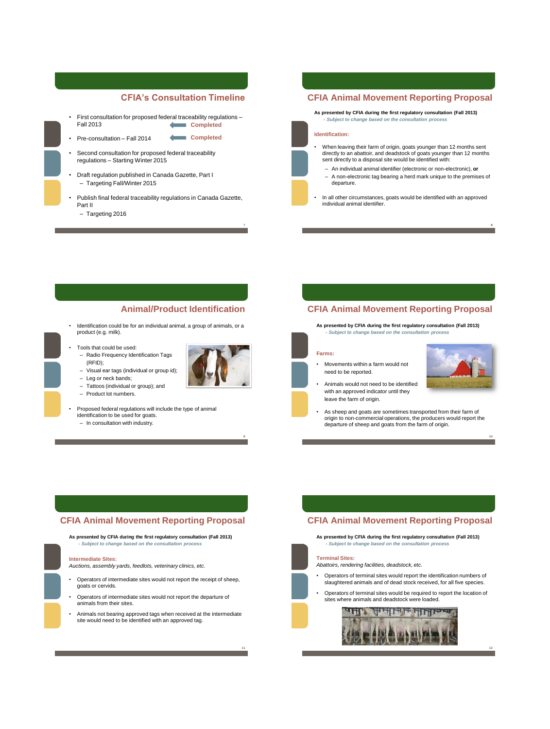## **CFIA's Consultation Timeline**

**Completed** 

- First consultation for proposed federal traceability regulations Fall 2013 **Completed**
- Pre-consultation Fall 2014
	- Second consultation for proposed federal traceability
- regulations Starting Winter 2015 • Draft regulation published in Canada Gazette, Part I
- Targeting Fall/Winter 2015
- Publish final federal traceability regulations in Canada Gazette, Part II
	- Targeting 2016

## **CFIA Animal Movement Reporting Proposal**

**As presented by CFIA during the first regulatory consultation (Fall 2013)** *- Subject to change based on the consultation process* 

### **Identification:**

- When leaving their farm of origin, goats younger than 12 months sent directly to an abattoir, and deadstock of goats younger than 12 months sent directly to a disposal site would be identified with:
- An individual animal identifier (electronic or non-electronic), **or** – A non-electronic tag bearing a herd mark unique to the premises of departure.
- In all other circumstances, goats would be identified with an approved individual animal identifier.

# **Animal/Product Identification**

9

- Identification could be for an individual animal, a group of animals, or a product (e.g. milk).
- Tools that could be used: – Radio Frequency Identification Tags
- (RFID);
- Visual ear tags (individual or group id);
- Leg or neck bands;
- Tattoos (individual or group); and
- Product lot numbers.

• Proposed federal regulations will include the type of animal identification to be used for goats.

– In consultation with industry.

# **CFIA Animal Movement Reporting Proposal**

**As presented by CFIA during the first regulatory consultation (Fall 2013)** *- Subject to change based on the consultation process* 

#### **Farms:**

- Movements within a farm would not need to be reported.
- Animals would not need to be identified with an approved indicator until they leave the farm of origin.
- 

8

• As sheep and goats are sometimes transported from their farm of origin to non-commercial operations, the producers would report the departure of sheep and goats from the farm of origin.

# **CFIA Animal Movement Reporting Proposal**

**As presented by CFIA during the first regulatory consultation (Fall 2013)** *- Subject to change based on the consultation process* 

#### **Intermediate Sites:**

*Auctions, assembly yards, feedlots, veterinary clinics, etc.*

- Operators of intermediate sites would not report the receipt of sheep, goats or cervids.
- Operators of intermediate sites would not report the departure of animals from their sites.
- Animals not bearing approved tags when received at the intermediate site would need to be identified with an approved tag.

## **CFIA Animal Movement Reporting Proposal**

**As presented by CFIA during the first regulatory consultation (Fall 2013)** *- Subject to change based on the consultation process* 

### **Terminal Sites:**

- *Abattoirs, rendering facilities, deadstock, etc.*
- Operators of terminal sites would report the identification numbers of slaughtered animals and of dead stock received, for all five species.
- Operators of terminal sites would be required to report the location of sites where animals and deadstock were loaded.